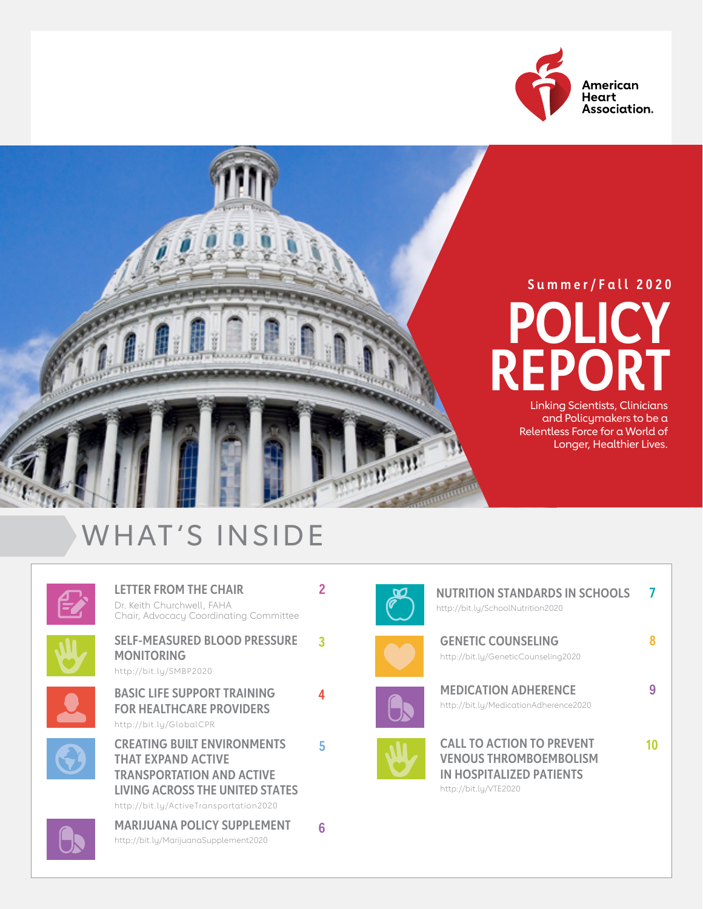



#### WHAT'S INSIDE



**[LETTER FROM THE CHAIR](#page-1-0)**  Dr. Keith Churchwell, FAHA Chair, Advocacy Coordinating Committee



**3 [SELF-MEASURED BLOOD PRESSURE](#page-2-0)  [MONITORING](#page-2-0)**  [http://bit.ly/](http://bit.ly/SMBP2020)SMBP2020



**[BASIC LIFE SUPPORT TRAINING](#page-3-0)  [FOR HEALTHCARE PROVIDERS](#page-3-0)**  [http://bit.ly/](http://bit.ly/GlobalCPR)GlobalCPR



**5 [CREATING BUILT ENVIRONMENTS](#page-4-0)  [THAT EXPAND ACTIVE](#page-4-0)  [TRANSPORTATION AND ACTIVE](#page-4-0)  [LIVING ACROSS THE UNITED STATES](#page-4-0)**  http://bit.ly/[ActiveTransportation2020](http://bit.ly/ActiveTransportation2020)

**[MARIJUANA POLICY SUPPLEMENT](#page-5-0)** http://bit.ly/[MarijuanaSupplement2020](http://bit.ly/MarijuanaSupplement2020)

**2**

**4**

**6**



**[GENETIC COUNSELING](#page-7-0)**  http://bit.ly/[GeneticCounseling2020](http://bit.ly/GeneticCounseling2020)

**[NUTRITION STANDARDS IN SCHOOLS](#page-6-0) 7**

**8**

**9**

**10**



http://bit.ly/[SchoolNutrition2020](http://bit.ly/SchoolNutrition2020)



**[CALL TO ACTION TO PREVENT](#page-9-0)  [VENOUS THROMBOEMBOLISM](#page-9-0)  [IN HOSPITALIZED PATIENTS](#page-9-0)**  [http://bit.ly/](http://bit.ly/VTE2020)VTE2020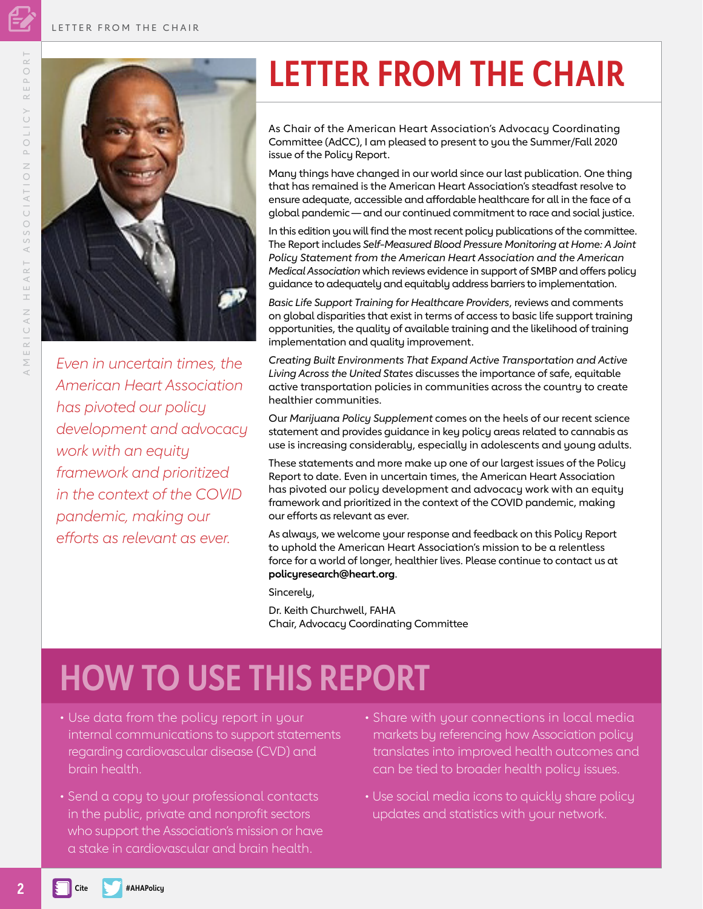<span id="page-1-0"></span>

*Even in uncertain times, the American Heart Association has pivoted our policy development and advocacy work with an equity framework and prioritized in the context of the COVID pandemic, making our efforts as relevant as ever.* 

### **LETTER FROM THE CHAIR**

As Chair of the American Heart Association's Advocacy Coordinating Committee (AdCC), I am pleased to present to you the Summer/Fall 2020 issue of the Policy Report.

Many things have changed in our world since our last publication. One thing that has remained is the American Heart Association's steadfast resolve to ensure adequate, accessible and affordable healthcare for all in the face of a global pandemic — and our continued commitment to race and social justice.

In this edition you will find the most recent policy publications of the committee. The Report includes *Self-Measured Blood Pressure Monitoring at Home: A Joint Policy Statement from the American Heart Association and the American Medical Association* which reviews evidence in support of SMBP and offers policy guidance to adequately and equitably address barriers to implementation.

*Basic Life Support Training for Healthcare Providers*, reviews and comments on global disparities that exist in terms of access to basic life support training opportunities, the quality of available training and the likelihood of training implementation and quality improvement.

*Creating Built Environments That Expand Active Transportation and Active Living Across the United States* discusses the importance of safe, equitable active transportation policies in communities across the country to create healthier communities.

Our *Marijuana Policy Supplement* comes on the heels of our recent science statement and provides guidance in key policy areas related to cannabis as use is increasing considerably, especially in adolescents and young adults.

These statements and more make up one of our largest issues of the Policy Report to date. Even in uncertain times, the American Heart Association has pivoted our policy development and advocacy work with an equity framework and prioritized in the context of the COVID pandemic, making our efforts as relevant as ever.

As always, we welcome your response and feedback on this Policy Report to uphold the American Heart Association's mission to be a relentless force for a world of longer, healthier lives. Please continue to contact us at **policyresearch@heart.org**.

Sincerely,

Dr. Keith Churchwell, FAHA Chair, Advocacy Coordinating Committee

### **HOW TO USE THIS REPORT**

- Use data from the policy report in your internal communications to support statements regarding cardiovascular disease (CVD) and brain health.
- Send a copy to your professional contacts in the public, private and nonprofit sectors who support the Association's mission or have a stake in cardiovascular and brain health.
- Share with your connections in local media markets by referencing how Association policy translates into improved health outcomes and can be tied to broader health policy issues.
- Use social media icons to quickly share policy updates and statistics with your network.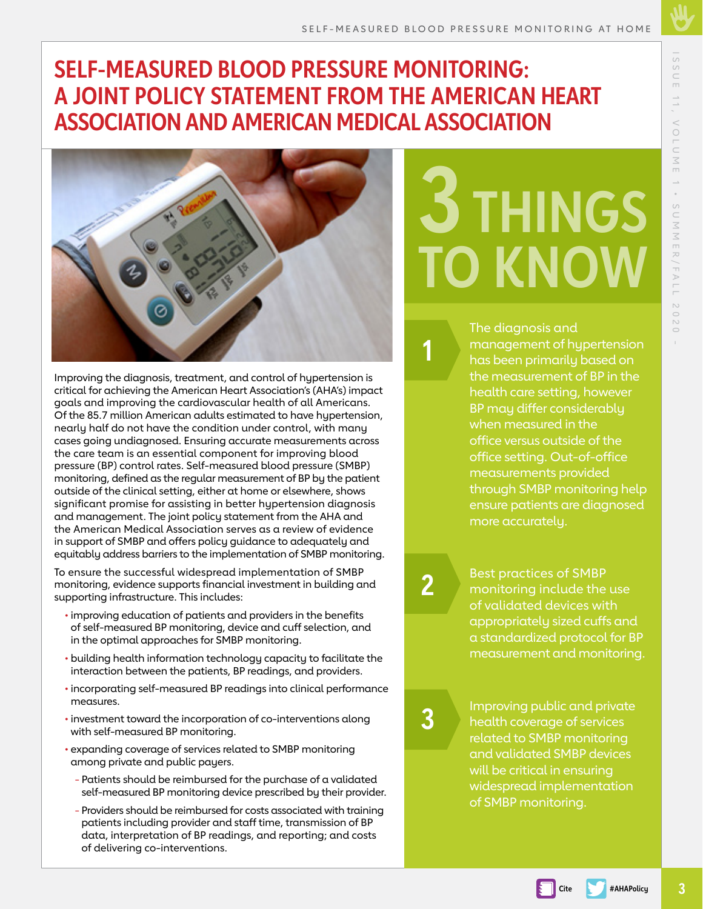#### <span id="page-2-0"></span>**SELF-MEASURED BLOOD PRESSURE MONITORING: A JOINT POLICY STATEMENT FROM THE AMERICAN HEART ASSOCIATION AND AMERICAN MEDICAL ASSOCIATION**



Improving the diagnosis, treatment, and control of hypertension is critical for achieving the American Heart Association's (AHA's) impact goals and improving the cardiovascular health of all Americans. Of the 85.7 million American adults estimated to have hypertension, nearly half do not have the condition under control, with many cases going undiagnosed. Ensuring accurate measurements across the care team is an essential component for improving blood pressure (BP) control rates. Self-measured blood pressure (SMBP) monitoring, defined as the regular measurement of BP by the patient outside of the clinical setting, either at home or elsewhere, shows significant promise for assisting in better hypertension diagnosis and management. The joint policy statement from the AHA and the American Medical Association serves as a review of evidence in support of SMBP and offers policy guidance to adequately and equitably address barriers to the implementation of SMBP monitoring.

To ensure the successful widespread implementation of SMBP monitoring, evidence supports financial investment in building and supporting infrastructure. This includes:

- improving education of patients and providers in the benefits of self-measured BP monitoring, device and cuff selection, and in the optimal approaches for SMBP monitoring.
- building health information technology capacity to facilitate the interaction between the patients, BP readings, and providers.
- incorporating self-measured BP readings into clinical performance measures.
- investment toward the incorporation of co-interventions along with self-measured BP monitoring.
- expanding coverage of services related to SMBP monitoring among private and public payers.
	- Patients should be reimbursed for the purchase of a validated self-measured BP monitoring device prescribed by their provider.
	- Providers should be reimbursed for costs associated with training patients including provider and staff time, transmission of BP data, interpretation of BP readings, and reporting; and costs of delivering co-interventions.

# **3 THINGS TO KNOW**

The diagnosis and management of hypertension has been primarily based on the measurement of BP in the

health care setting, however BP may differ considerably when measured in the office versus outside of the office setting. Out-of-office measurements provided through SMBP monitoring help ensure patients are diagnosed more accurately.

**2**

**1**

Best practices of SMBP monitoring include the use of validated devices with appropriately sized cuffs and a standardized protocol for BP measurement and monitoring.

**3**

Improving public and private health coverage of services related to SMBP monitoring and validated SMBP devices will be critical in ensuring widespread implementation of SMBP monitoring.

**Cite #AHAPolicy**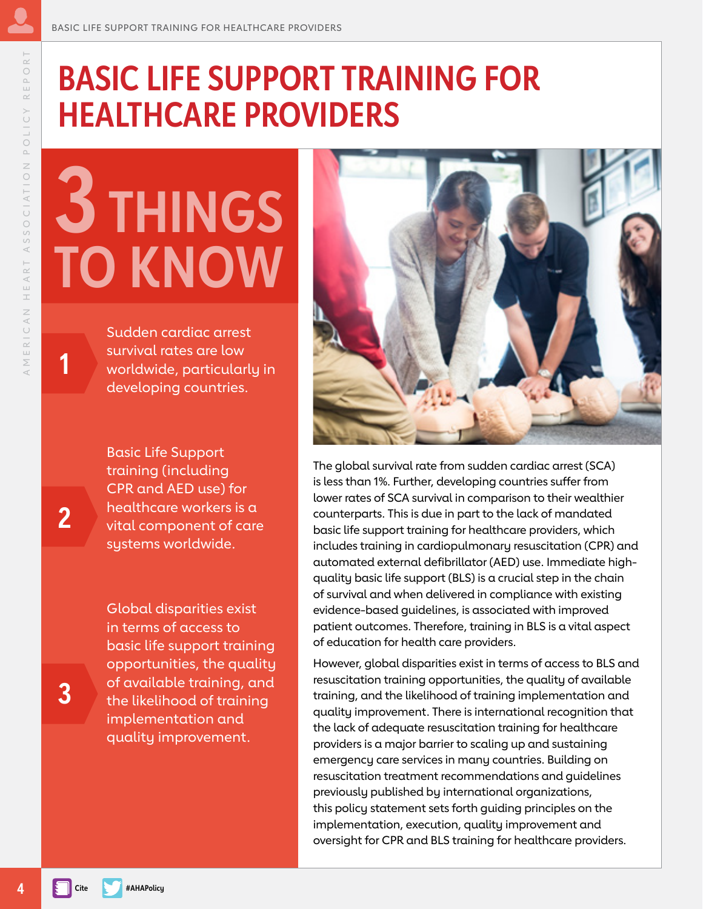### <span id="page-3-0"></span>**BASIC LIFE SUPPORT TRAINING FOR HEALTHCARE PROVIDERS**

## **3 THINGS TO KNOW**

Sudden cardiac arrest survival rates are low worldwide, particularly in developing countries.

Basic Life Support training (including CPR and AED use) for healthcare workers is a vital component of care systems worldwide.

Global disparities exist in terms of access to basic life support training opportunities, the quality of available training, and the likelihood of training implementation and quality improvement.



The global survival rate from sudden cardiac arrest (SCA) is less than 1%. Further, developing countries suffer from lower rates of SCA survival in comparison to their wealthier counterparts. This is due in part to the lack of mandated basic life support training for healthcare providers, which includes training in cardiopulmonary resuscitation (CPR) and automated external defibrillator (AED) use. Immediate highquality basic life support (BLS) is a crucial step in the chain of survival and when delivered in compliance with existing evidence-based guidelines, is associated with improved patient outcomes. Therefore, training in BLS is a vital aspect of education for health care providers.

However, global disparities exist in terms of access to BLS and resuscitation training opportunities, the quality of available training, and the likelihood of training implementation and quality improvement. There is international recognition that the lack of adequate resuscitation training for healthcare providers is a major barrier to scaling up and sustaining emergency care services in many countries. Building on resuscitation treatment recommendations and guidelines previously published by international organizations, this policy statement sets forth guiding principles on the implementation, execution, quality improvement and oversight for CPR and BLS training for healthcare providers.

**3**

**2**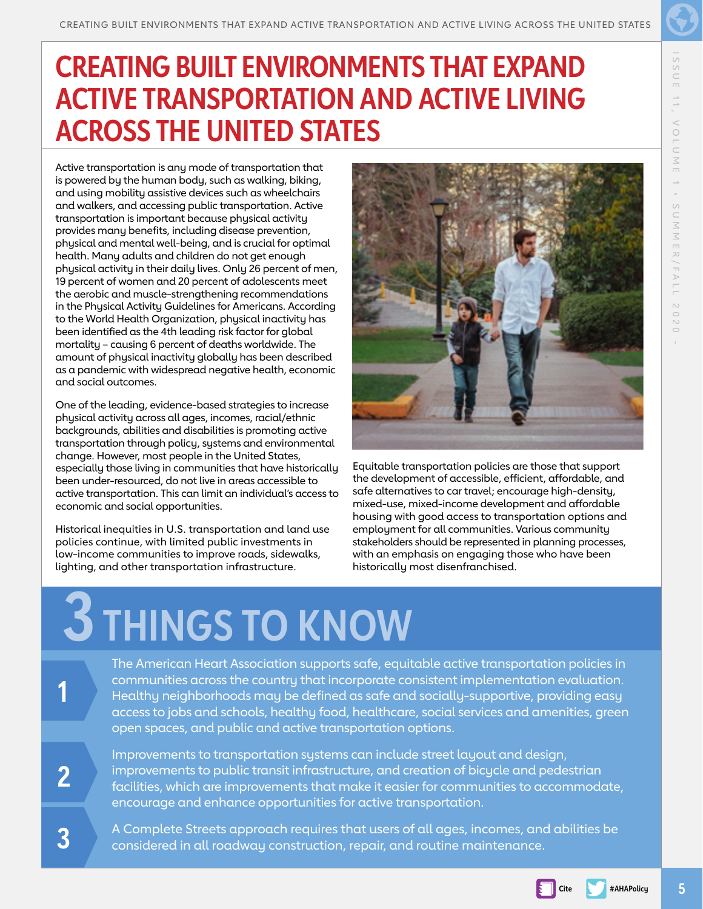#### <span id="page-4-0"></span>**CREATING BUILT ENVIRONMENTS THAT EXPAND ACTIVE TRANSPORTATION AND ACTIVE LIVING ACROSS THE UNITED STATES**

Active transportation is any mode of transportation that is powered by the human body, such as walking, biking, and using mobility assistive devices such as wheelchairs and walkers, and accessing public transportation. Active transportation is important because physical activity provides many benefits, including disease prevention, physical and mental well-being, and is crucial for optimal health. Many adults and children do not get enough physical activity in their daily lives. Only 26 percent of men, 19 percent of women and 20 percent of adolescents meet the aerobic and muscle-strengthening recommendations in the Physical Activity Guidelines for Americans. According to the World Health Organization, physical inactivity has been identified as the 4th leading risk factor for global mortality – causing 6 percent of deaths worldwide. The amount of physical inactivity globally has been described as a pandemic with widespread negative health, economic and social outcomes.

One of the leading, evidence-based strategies to increase physical activity across all ages, incomes, racial/ethnic backgrounds, abilities and disabilities is promoting active transportation through policy, systems and environmental change. However, most people in the United States, especially those living in communities that have historically been under-resourced, do not live in areas accessible to active transportation. This can limit an individual's access to economic and social opportunities.

Historical inequities in U.S. transportation and land use policies continue, with limited public investments in low-income communities to improve roads, sidewalks, lighting, and other transportation infrastructure.



Equitable transportation policies are those that support the development of accessible, efficient, affordable, and safe alternatives to car travel; encourage high-density, mixed-use, mixed-income development and affordable housing with good access to transportation options and employment for all communities. Various community stakeholders should be represented in planning processes, with an emphasis on engaging those who have been historically most disenfranchised.

## **3 THINGS TO KNOW**

The American Heart Association supports safe, equitable active transportation policies in communities across the country that incorporate consistent implementation evaluation. Healthy neighborhoods may be defined as safe and socially-supportive, providing easy access to jobs and schools, healthy food, healthcare, social services and amenities, green open spaces, and public and active transportation options.

Improvements to transportation systems can include street layout and design, improvements to public transit infrastructure, and creation of bicycle and pedestrian facilities, which are improvements that make it easier for communities to accommodate, encourage and enhance opportunities for active transportation.

A Complete Streets approach requires that users of all ages, incomes, and abilities be considered in all roadway construction, repair, and routine maintenance.

**3**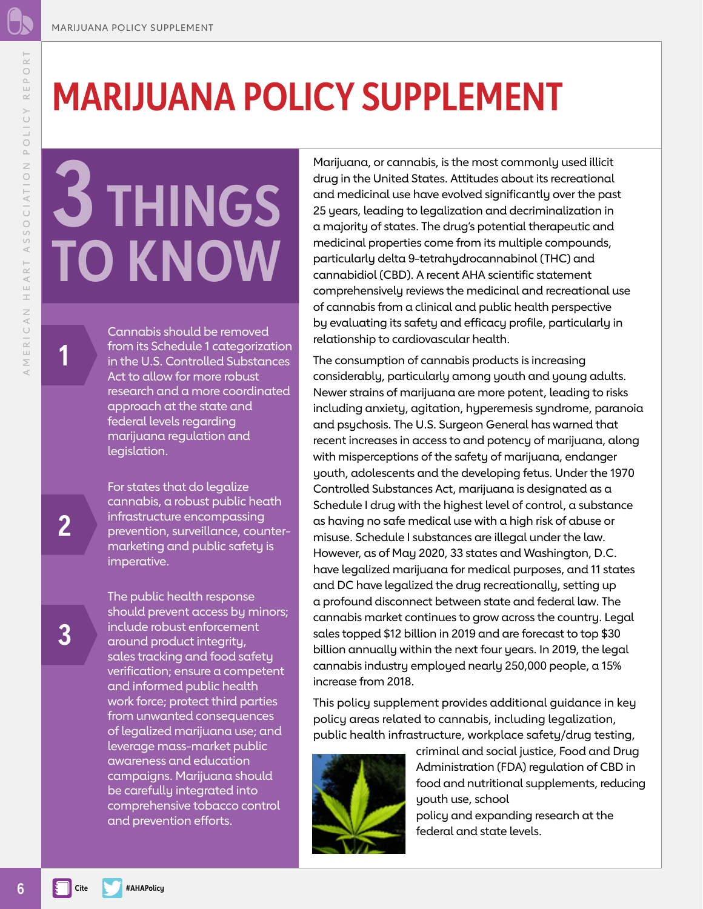### **MARIJUANA POLICY SUPPLEMENT**

# **3 THINGS TO KNOW**

Cannabis should be removed from its Schedule 1 categorization in the U.S. Controlled Substances Act to allow for more robust research and a more coordinated approach at the state and federal levels regarding marijuana regulation and legislation.

For states that do legalize cannabis, a robust public heath infrastructure encompassing prevention, surveillance, countermarketing and public safety is imperative.

The public health response should prevent access by minors; include robust enforcement around product integrity, sales tracking and food safety verification; ensure a competent and informed public health work force; protect third parties from unwanted consequences of legalized marijuana use; and leverage mass-market public awareness and education campaigns. Marijuana should be carefully integrated into comprehensive tobacco control and prevention efforts.

Marijuana, or cannabis, is the most commonly used illicit drug in the United States. Attitudes about its recreational and medicinal use have evolved significantly over the past 25 years, leading to legalization and decriminalization in a majority of states. The drug's potential therapeutic and medicinal properties come from its multiple compounds, particularly delta 9-tetrahydrocannabinol (THC) and cannabidiol (CBD). A recent AHA scientific statement comprehensively reviews the medicinal and recreational use of cannabis from a clinical and public health perspective by evaluating its safety and efficacy profile, particularly in relationship to cardiovascular health.

The consumption of cannabis products is increasing considerably, particularly among youth and young adults. Newer strains of marijuana are more potent, leading to risks including anxiety, agitation, hyperemesis syndrome, paranoia and psychosis. The U.S. Surgeon General has warned that recent increases in access to and potency of marijuana, along with misperceptions of the safety of marijuana, endanger youth, adolescents and the developing fetus. Under the 1970 Controlled Substances Act, marijuana is designated as a Schedule I drug with the highest level of control, a substance as having no safe medical use with a high risk of abuse or misuse. Schedule I substances are illegal under the law. However, as of May 2020, 33 states and Washington, D.C. have legalized marijuana for medical purposes, and 11 states and DC have legalized the drug recreationally, setting up a profound disconnect between state and federal law. The cannabis market continues to grow across the country. Legal sales topped \$12 billion in 2019 and are forecast to top \$30 billion annually within the next four years. In 2019, the legal cannabis industry employed nearly 250,000 people, a 15% increase from 2018.

This policy supplement provides additional guidance in key policy areas related to cannabis, including legalization, public health infrastructure, workplace safety/drug testing,



criminal and social justice, Food and Drug Administration (FDA) regulation of CBD in food and nutritional supplements, reducing youth use, school

policy and expanding research at the federal and state levels.

**1**

<span id="page-5-0"></span> $\overline{\simeq}$ 

POLICY REPO

ASSOCIATION

HEART

RICAN

 $\stackrel{\sqsubseteq}{\geq}$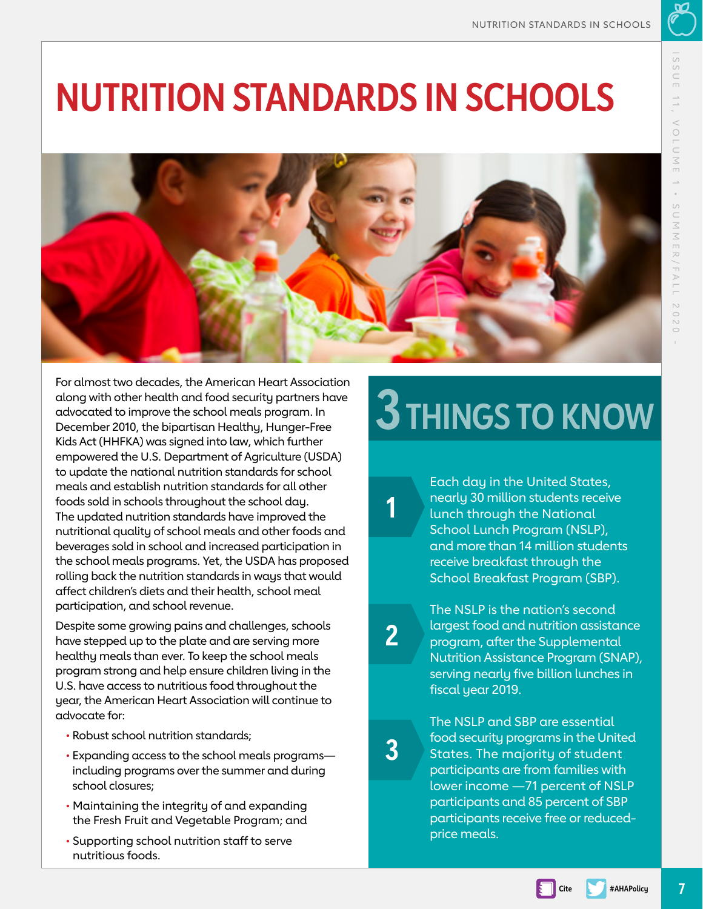### <span id="page-6-0"></span>**NUTRITION STANDARDS IN SCHOOLS**



For almost two decades, the American Heart Association along with other health and food security partners have advocated to improve the school meals program. In December 2010, the bipartisan Healthy, Hunger-Free Kids Act (HHFKA) was signed into law, which further empowered the U.S. Department of Agriculture (USDA) to update the national nutrition standards for school meals and establish nutrition standards for all other foods sold in schools throughout the school day. The updated nutrition standards have improved the nutritional quality of school meals and other foods and beverages sold in school and increased participation in the school meals programs. Yet, the USDA has proposed rolling back the nutrition standards in ways that would affect children's diets and their health, school meal participation, and school revenue.

Despite some growing pains and challenges, schools have stepped up to the plate and are serving more healthy meals than ever. To keep the school meals program strong and help ensure children living in the U.S. have access to nutritious food throughout the year, the American Heart Association will continue to advocate for:

- Robust school nutrition standards;
- Expanding access to the school meals programs including programs over the summer and during school closures;
- Maintaining the integrity of and expanding the Fresh Fruit and Vegetable Program; and
- Supporting school nutrition staff to serve nutritious foods.

## **3 THINGS TO KNOW**

Each day in the United States, nearly 30 million students receive lunch through the National School Lunch Program (NSLP), and more than 14 million students receive breakfast through the School Breakfast Program (SBP).

**2**

**1**

The NSLP is the nation's second largest food and nutrition assistance program, after the Supplemental Nutrition Assistance Program (SNAP), serving nearly five billion lunches in fiscal year 2019.

**3**

The NSLP and SBP are essential food security programs in the United States. The majority of student participants are from families with lower income —71 percent of NSLP participants and 85 percent of SBP participants receive free or reducedprice meals.

**Cite #AHAPolicy**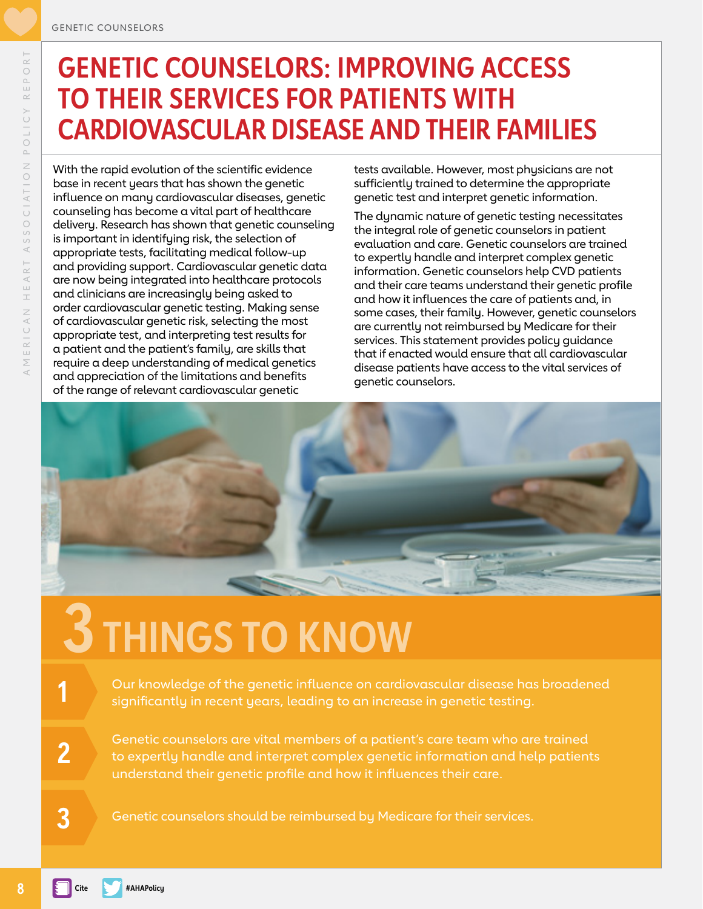#### <span id="page-7-0"></span>**GENETIC COUNSELORS: IMPROVING ACCESS TO THEIR SERVICES FOR PATIENTS WITH CARDIOVASCULAR DISEASE AND THEIR FAMILIES**

With the rapid evolution of the scientific evidence base in recent years that has shown the genetic influence on many cardiovascular diseases, genetic counseling has become a vital part of healthcare delivery. Research has shown that genetic counseling is important in identifying risk, the selection of appropriate tests, facilitating medical follow-up and providing support. Cardiovascular genetic data are now being integrated into healthcare protocols and clinicians are increasingly being asked to order cardiovascular genetic testing. Making sense of cardiovascular genetic risk, selecting the most appropriate test, and interpreting test results for a patient and the patient's family, are skills that require a deep understanding of medical genetics and appreciation of the limitations and benefits of the range of relevant cardiovascular genetic

tests available. However, most physicians are not sufficiently trained to determine the appropriate genetic test and interpret genetic information.

The dynamic nature of genetic testing necessitates the integral role of genetic counselors in patient evaluation and care. Genetic counselors are trained to expertly handle and interpret complex genetic information. Genetic counselors help CVD patients and their care teams understand their genetic profile and how it influences the care of patients and, in some cases, their family. However, genetic counselors are currently not reimbursed by Medicare for their services. This statement provides policy guidance that if enacted would ensure that all cardiovascular disease patients have access to the vital services of genetic counselors.



## **3 THINGS TO KNOW**

Our knowledge of the genetic influence on cardiovascular disease has broadened significantly in recent years, leading to an increase in genetic testing.

Genetic counselors are vital members of a patient's care team who are trained to expertly handle and interpret complex genetic information and help patients understand their genetic profile and how it influences their care.

Genetic counselors should be reimbursed by Medicare for their services.

**1**

**2**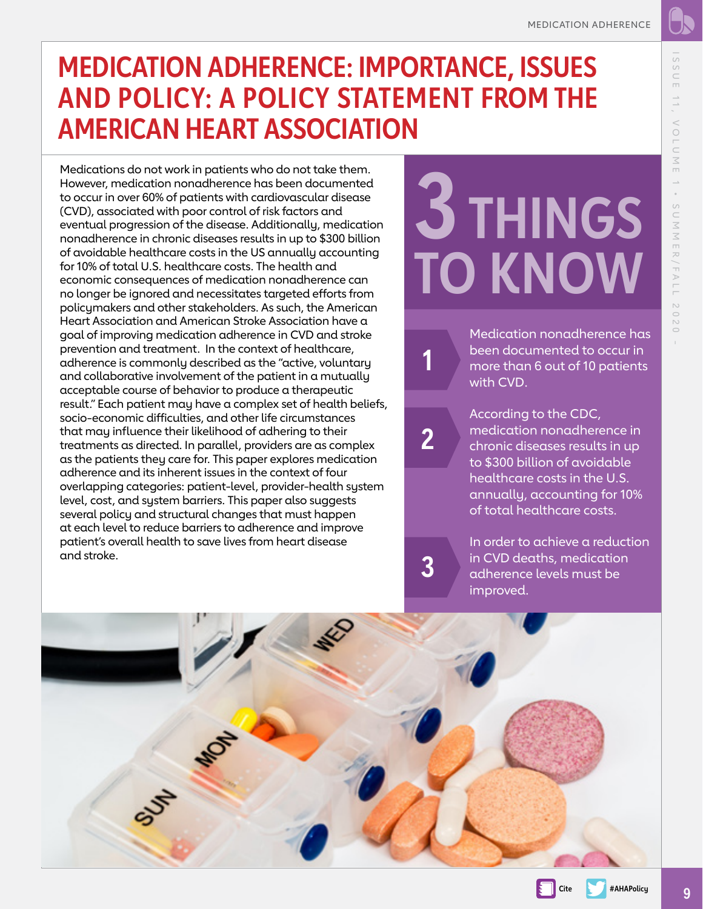#### <span id="page-8-0"></span>**MEDICATION ADHERENCE: IMPORTANCE, ISSUES AND POLICY: A POLICY STATEMENT FROM THE AMERICAN HEART ASSOCIATION**

Medications do not work in patients who do not take them. However, medication nonadherence has been documented to occur in over 60% of patients with cardiovascular disease (CVD), associated with poor control of risk factors and eventual progression of the disease. Additionally, medication nonadherence in chronic diseases results in up to \$300 billion of avoidable healthcare costs in the US annually accounting for 10% of total U.S. healthcare costs. The health and economic consequences of medication nonadherence can no longer be ignored and necessitates targeted efforts from policymakers and other stakeholders. As such, the American Heart Association and American Stroke Association have a goal of improving medication adherence in CVD and stroke prevention and treatment. In the context of healthcare, adherence is commonly described as the "active, voluntary and collaborative involvement of the patient in a mutually acceptable course of behavior to produce a therapeutic result." Each patient may have a complex set of health beliefs, socio-economic difficulties, and other life circumstances that may influence their likelihood of adhering to their treatments as directed. In parallel, providers are as complex as the patients they care for. This paper explores medication adherence and its inherent issues in the context of four overlapping categories: patient-level, provider-health system level, cost, and system barriers. This paper also suggests several policy and structural changes that must happen at each level to reduce barriers to adherence and improve patient's overall health to save lives from heart disease and stroke.

# **3 THINGS TO KNOW**

Medication nonadherence has been documented to occur in more than 6 out of 10 patients with CVD.

**2**

**1**

**3**

According to the CDC, medication nonadherence in chronic diseases results in up to \$300 billion of avoidable healthcare costs in the U.S. annually, accounting for 10% of total healthcare costs.

In order to achieve a reduction in CVD deaths, medication adherence levels must be improved.



 $1 S S 1$ 

**Cite #AHAPolicy**